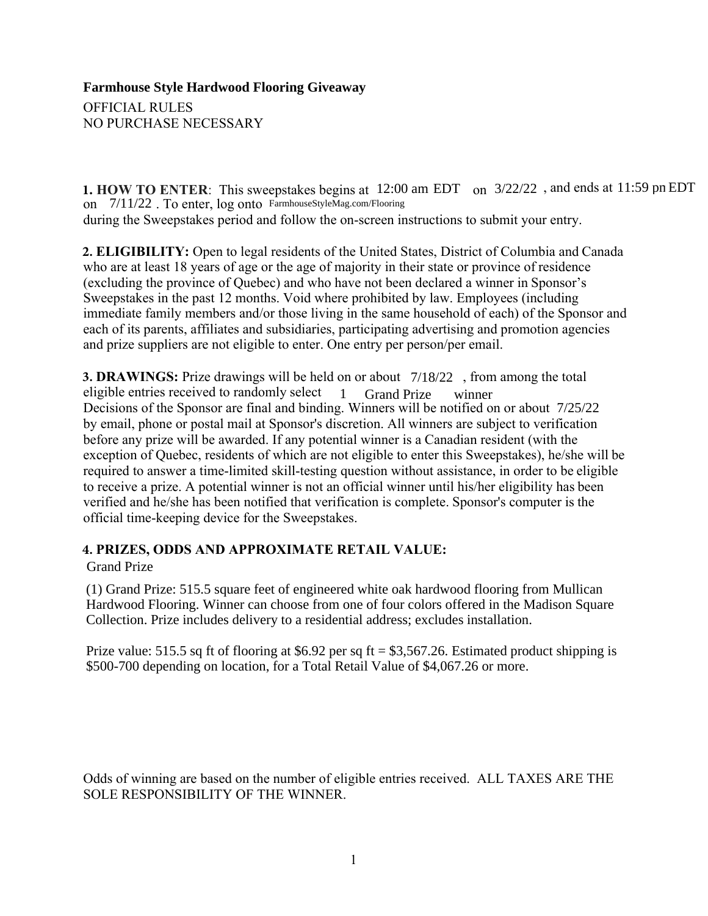OFFICIAL RULES NO PURCHASE NECESSARY **Farmhouse Style Hardwood Flooring Giveaway**

**1. HOW TO ENTER:** This sweepstakes begins at 12:00 am EDT on  $3/22/22$ , and ends at 11:59 pm EDT on 7/11/22. To enter, log onto FarmhouseStyleMag.com/Flooring during the Sweepstakes period and follow the on-screen instructions to submit your entry.

**2. ELIGIBILITY:** Open to legal residents of the United States, District of Columbia and Canada who are at least 18 years of age or the age of majority in their state or province of residence (excluding the province of Quebec) and who have not been declared a winner in Sponsor's Sweepstakes in the past 12 months. Void where prohibited by law. Employees (including immediate family members and/or those living in the same household of each) of the Sponsor and each of its parents, affiliates and subsidiaries, participating advertising and promotion agencies and prize suppliers are not eligible to enter. One entry per person/per email.

**3. DRAWINGS:** Prize drawings will be held on or about  $7/18/22$ , from among the total eligible entries received to randomly select eligible entries received to randomly select 1 Grand Prize winner<br>Decisions of the Sponsor are final and binding. Winners will be notified on or about 7/25/22 by email, phone or postal mail at Sponsor's discretion. All winners are subject to verification before any prize will be awarded. If any potential winner is a Canadian resident (with the exception of Quebec, residents of which are not eligible to enter this Sweepstakes), he/she will be required to answer a time-limited skill-testing question without assistance, in order to be eligible to receive a prize. A potential winner is not an official winner until his/her eligibility has been verified and he/she has been notified that verification is complete. Sponsor's computer is the official time-keeping device for the Sweepstakes.

## **4. PRIZES, ODDS AND APPROXIMATE RETAIL VALUE:**

Grand Prize

(1) Grand Prize: 515.5 square feet of engineered white oak hardwood flooring from Mullican Hardwood Flooring. Winner can choose from one of four colors offered in the Madison Square Collection. Prize includes delivery to a residential address; excludes installation.

Prize value: 515.5 sq ft of flooring at \$6.92 per sq ft = \$3,567.26. Estimated product shipping is \$500-700 depending on location, for a Total Retail Value of \$4,067.26 or more.

Odds of winning are based on the number of eligible entries received. ALL TAXES ARE THE SOLE RESPONSIBILITY OF THE WINNER.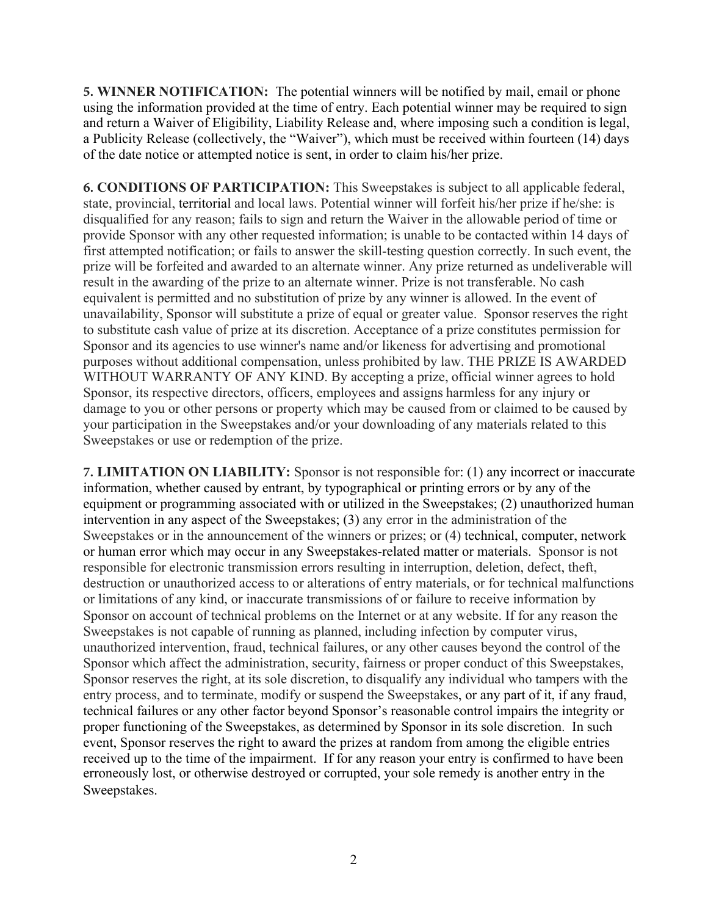**5. WINNER NOTIFICATION:** The potential winners will be notified by mail, email or phone using the information provided at the time of entry. Each potential winner may be required to sign and return a Waiver of Eligibility, Liability Release and, where imposing such a condition is legal, a Publicity Release (collectively, the "Waiver"), which must be received within fourteen (14) days of the date notice or attempted notice is sent, in order to claim his/her prize.

**6. CONDITIONS OF PARTICIPATION:** This Sweepstakes is subject to all applicable federal, state, provincial, territorial and local laws. Potential winner will forfeit his/her prize if he/she: is disqualified for any reason; fails to sign and return the Waiver in the allowable period of time or provide Sponsor with any other requested information; is unable to be contacted within 14 days of first attempted notification; or fails to answer the skill-testing question correctly. In such event, the prize will be forfeited and awarded to an alternate winner. Any prize returned as undeliverable will result in the awarding of the prize to an alternate winner. Prize is not transferable. No cash equivalent is permitted and no substitution of prize by any winner is allowed. In the event of unavailability, Sponsor will substitute a prize of equal or greater value. Sponsor reserves the right to substitute cash value of prize at its discretion. Acceptance of a prize constitutes permission for Sponsor and its agencies to use winner's name and/or likeness for advertising and promotional purposes without additional compensation, unless prohibited by law. THE PRIZE IS AWARDED WITHOUT WARRANTY OF ANY KIND. By accepting a prize, official winner agrees to hold Sponsor, its respective directors, officers, employees and assigns harmless for any injury or damage to you or other persons or property which may be caused from or claimed to be caused by your participation in the Sweepstakes and/or your downloading of any materials related to this Sweepstakes or use or redemption of the prize.

**7. LIMITATION ON LIABILITY:** Sponsor is not responsible for: (1) any incorrect or inaccurate information, whether caused by entrant, by typographical or printing errors or by any of the equipment or programming associated with or utilized in the Sweepstakes; (2) unauthorized human intervention in any aspect of the Sweepstakes; (3) any error in the administration of the Sweepstakes or in the announcement of the winners or prizes; or (4) technical, computer, network or human error which may occur in any Sweepstakes-related matter or materials. Sponsor is not responsible for electronic transmission errors resulting in interruption, deletion, defect, theft, destruction or unauthorized access to or alterations of entry materials, or for technical malfunctions or limitations of any kind, or inaccurate transmissions of or failure to receive information by Sponsor on account of technical problems on the Internet or at any website. If for any reason the Sweepstakes is not capable of running as planned, including infection by computer virus, unauthorized intervention, fraud, technical failures, or any other causes beyond the control of the Sponsor which affect the administration, security, fairness or proper conduct of this Sweepstakes, Sponsor reserves the right, at its sole discretion, to disqualify any individual who tampers with the entry process, and to terminate, modify or suspend the Sweepstakes, or any part of it, if any fraud, technical failures or any other factor beyond Sponsor's reasonable control impairs the integrity or proper functioning of the Sweepstakes, as determined by Sponsor in its sole discretion. In such event, Sponsor reserves the right to award the prizes at random from among the eligible entries received up to the time of the impairment. If for any reason your entry is confirmed to have been erroneously lost, or otherwise destroyed or corrupted, your sole remedy is another entry in the Sweepstakes.